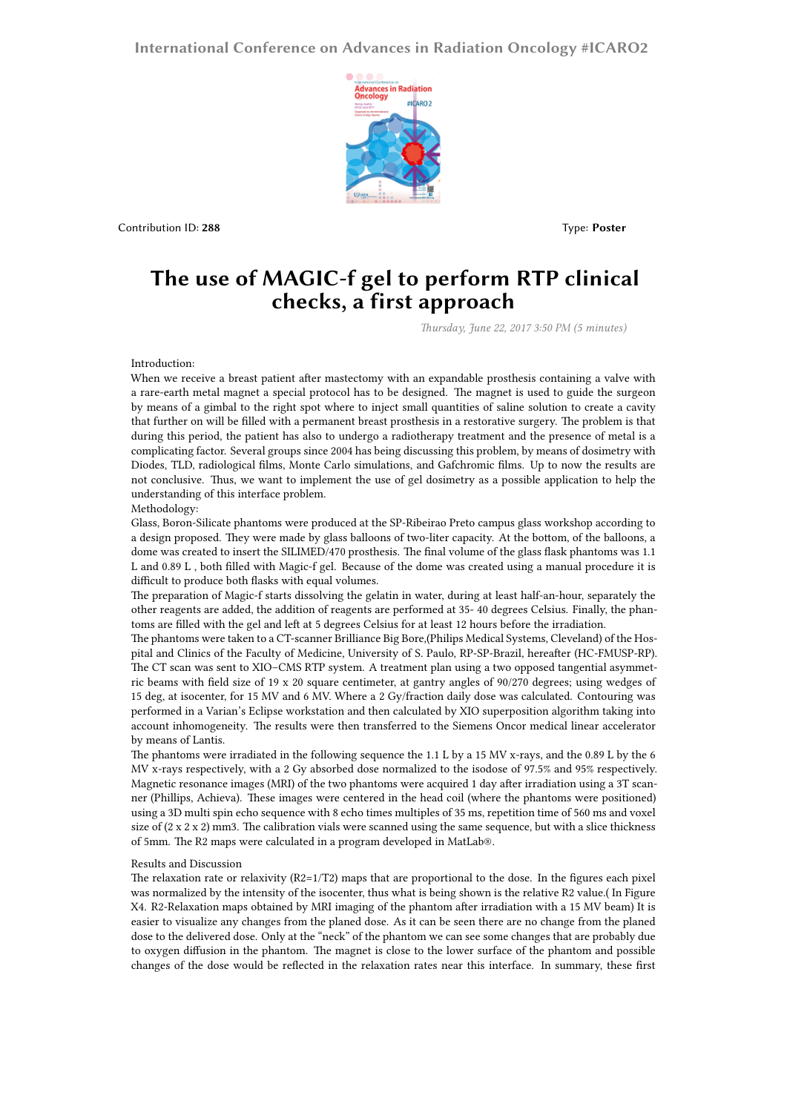# **International Conference on Advances in Radiation Oncology #ICARO2**



**Contribution ID: 288** Type: **Poster** 

# **The use of MAGIC-f gel to perform RTP clinical checks, a first approach**

*Thursday, June 22, 2017 3:50 PM (5 minutes)*

## Introduction:

When we receive a breast patient after mastectomy with an expandable prosthesis containing a valve with a rare-earth metal magnet a special protocol has to be designed. The magnet is used to guide the surgeon by means of a gimbal to the right spot where to inject small quantities of saline solution to create a cavity that further on will be filled with a permanent breast prosthesis in a restorative surgery. The problem is that during this period, the patient has also to undergo a radiotherapy treatment and the presence of metal is a complicating factor. Several groups since 2004 has being discussing this problem, by means of dosimetry with Diodes, TLD, radiological films, Monte Carlo simulations, and Gafchromic films. Up to now the results are not conclusive. Thus, we want to implement the use of gel dosimetry as a possible application to help the understanding of this interface problem.

#### Methodology:

Glass, Boron-Silicate phantoms were produced at the SP-Ribeirao Preto campus glass workshop according to a design proposed. They were made by glass balloons of two-liter capacity. At the bottom, of the balloons, a dome was created to insert the SILIMED/470 prosthesis. The final volume of the glass flask phantoms was 1.1 L and 0.89 L , both filled with Magic-f gel. Because of the dome was created using a manual procedure it is difficult to produce both flasks with equal volumes.

The preparation of Magic-f starts dissolving the gelatin in water, during at least half-an-hour, separately the other reagents are added, the addition of reagents are performed at 35- 40 degrees Celsius. Finally, the phantoms are filled with the gel and left at 5 degrees Celsius for at least 12 hours before the irradiation.

The phantoms were taken to a CT-scanner Brilliance Big Bore,(Philips Medical Systems, Cleveland) of the Hospital and Clinics of the Faculty of Medicine, University of S. Paulo, RP-SP-Brazil, hereafter (HC-FMUSP-RP). The CT scan was sent to XIO–CMS RTP system. A treatment plan using a two opposed tangential asymmetric beams with field size of 19 x 20 square centimeter, at gantry angles of 90/270 degrees; using wedges of 15 deg, at isocenter, for 15 MV and 6 MV. Where a 2 Gy/fraction daily dose was calculated. Contouring was performed in a Varian's Eclipse workstation and then calculated by XIO superposition algorithm taking into account inhomogeneity. The results were then transferred to the Siemens Oncor medical linear accelerator by means of Lantis.

The phantoms were irradiated in the following sequence the 1.1 L by a 15 MV x-rays, and the 0.89 L by the 6 MV x-rays respectively, with a 2 Gy absorbed dose normalized to the isodose of 97.5% and 95% respectively. Magnetic resonance images (MRI) of the two phantoms were acquired 1 day after irradiation using a 3T scanner (Phillips, Achieva). These images were centered in the head coil (where the phantoms were positioned) using a 3D multi spin echo sequence with 8 echo times multiples of 35 ms, repetition time of 560 ms and voxel size of  $(2 \times 2 \times 2)$  mm3. The calibration vials were scanned using the same sequence, but with a slice thickness of 5mm. The R2 maps were calculated in a program developed in MatLab®.

### Results and Discussion

The relaxation rate or relaxivity  $(R2=1/T2)$  maps that are proportional to the dose. In the figures each pixel was normalized by the intensity of the isocenter, thus what is being shown is the relative R2 value.( In Figure X4. R2-Relaxation maps obtained by MRI imaging of the phantom after irradiation with a 15 MV beam) It is easier to visualize any changes from the planed dose. As it can be seen there are no change from the planed dose to the delivered dose. Only at the "neck" of the phantom we can see some changes that are probably due to oxygen diffusion in the phantom. The magnet is close to the lower surface of the phantom and possible changes of the dose would be reflected in the relaxation rates near this interface. In summary, these first